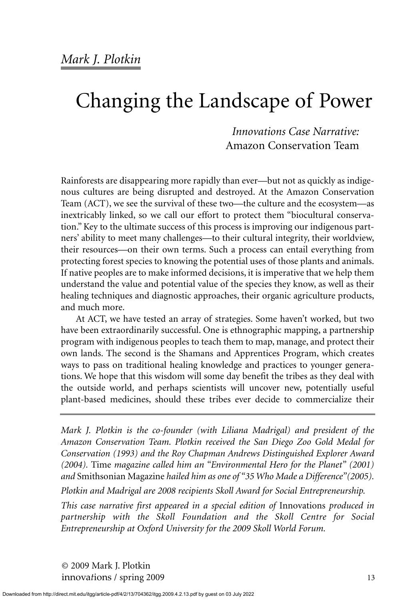*Innovations Case Narrative:*  Amazon Conservation Team

Rainforests are disappearing more rapidly than ever—but not as quickly as indigenous cultures are being disrupted and destroyed. At the Amazon Conservation Team (ACT), we see the survival of these two—the culture and the ecosystem—as inextricably linked, so we call our effort to protect them "biocultural conservation." Key to the ultimate success of this process is improving our indigenous partners' ability to meet many challenges—to their cultural integrity, their worldview, their resources—on their own terms. Such a process can entail everything from protecting forest species to knowing the potential uses of those plants and animals. If native peoples are to make informed decisions, it is imperative that we help them understand the value and potential value of the species they know, as well as their healing techniques and diagnostic approaches, their organic agriculture products, and much more.

At ACT, we have tested an array of strategies. Some haven't worked, but two have been extraordinarily successful. One is ethnographic mapping, a partnership program with indigenous peoples to teach them to map, manage, and protect their own lands. The second is the Shamans and Apprentices Program, which creates ways to pass on traditional healing knowledge and practices to younger generations. We hope that this wisdom will some day benefit the tribes as they deal with the outside world, and perhaps scientists will uncover new, potentially useful plant-based medicines, should these tribes ever decide to commercialize their

*Mark J. Plotkin is the co-founder (with Liliana Madrigal) and president of the Amazon Conservation Team. Plotkin received the San Diego Zoo Gold Medal for Conservation (1993) and the Roy Chapman Andrews Distinguished Explorer Award (2004).* Time *magazine called him an "Environmental Hero for the Planet" (2001) and* Smithsonian Magazine *hailed him as one of "35 Who Made a Difference"(2005).*

*Plotkin and Madrigal are 2008 recipients Skoll Award for Social Entrepreneurship.*

*This case narrative first appeared in a special edition of* Innovations *produced in partnership with the Skoll Foundation and the Skoll Centre for Social Entrepreneurship at Oxford University for the 2009 Skoll World Forum.*

© 2009 Mark J. Plotkin innovations / spring 2009 13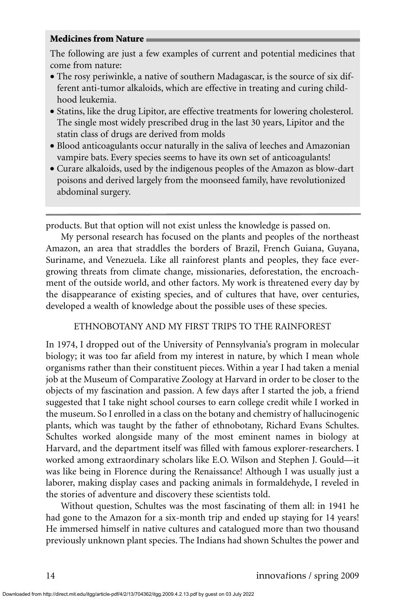## **Medicines from Nature**

The following are just a few examples of current and potential medicines that come from nature:

- The rosy periwinkle, a native of southern Madagascar, is the source of six different anti-tumor alkaloids, which are effective in treating and curing childhood leukemia.
- Statins, like the drug Lipitor, are effective treatments for lowering cholesterol. The single most widely prescribed drug in the last 30 years, Lipitor and the statin class of drugs are derived from molds
- Blood anticoagulants occur naturally in the saliva of leeches and Amazonian vampire bats. Every species seems to have its own set of anticoagulants!
- Curare alkaloids, used by the indigenous peoples of the Amazon as blow-dart poisons and derived largely from the moonseed family, have revolutionized abdominal surgery.

products. But that option will not exist unless the knowledge is passed on.

My personal research has focused on the plants and peoples of the northeast Amazon, an area that straddles the borders of Brazil, French Guiana, Guyana, Suriname, and Venezuela. Like all rainforest plants and peoples, they face evergrowing threats from climate change, missionaries, deforestation, the encroachment of the outside world, and other factors. My work is threatened every day by the disappearance of existing species, and of cultures that have, over centuries, developed a wealth of knowledge about the possible uses of these species.

# ETHNOBOTANY AND MY FIRST TRIPS TO THE RAINFOREST

In 1974, I dropped out of the University of Pennsylvania's program in molecular biology; it was too far afield from my interest in nature, by which I mean whole organisms rather than their constituent pieces. Within a year I had taken a menial job at the Museum of Comparative Zoology at Harvard in order to be closer to the objects of my fascination and passion. A few days after I started the job, a friend suggested that I take night school courses to earn college credit while I worked in the museum. So I enrolled in a class on the botany and chemistry of hallucinogenic plants, which was taught by the father of ethnobotany, Richard Evans Schultes. Schultes worked alongside many of the most eminent names in biology at Harvard, and the department itself was filled with famous explorer-researchers. I worked among extraordinary scholars like E.O. Wilson and Stephen J. Gould—it was like being in Florence during the Renaissance! Although I was usually just a laborer, making display cases and packing animals in formaldehyde, I reveled in the stories of adventure and discovery these scientists told.

Without question, Schultes was the most fascinating of them all: in 1941 he had gone to the Amazon for a six-month trip and ended up staying for 14 years! He immersed himself in native cultures and catalogued more than two thousand previously unknown plant species. The Indians had shown Schultes the power and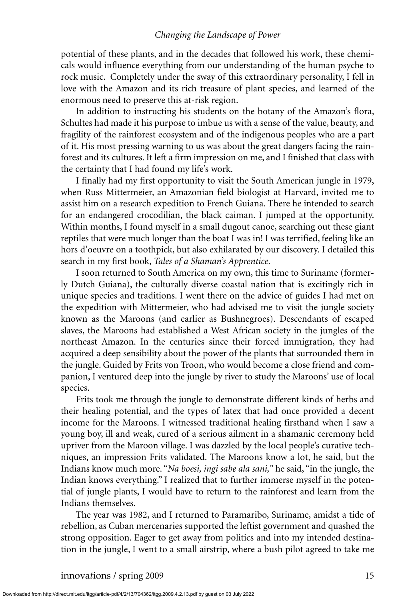potential of these plants, and in the decades that followed his work, these chemicals would influence everything from our understanding of the human psyche to rock music. Completely under the sway of this extraordinary personality, I fell in love with the Amazon and its rich treasure of plant species, and learned of the enormous need to preserve this at-risk region.

In addition to instructing his students on the botany of the Amazon's flora, Schultes had made it his purpose to imbue us with a sense of the value, beauty, and fragility of the rainforest ecosystem and of the indigenous peoples who are a part of it. His most pressing warning to us was about the great dangers facing the rainforest and its cultures. It left a firm impression on me, and I finished that class with the certainty that I had found my life's work.

I finally had my first opportunity to visit the South American jungle in 1979, when Russ Mittermeier, an Amazonian field biologist at Harvard, invited me to assist him on a research expedition to French Guiana. There he intended to search for an endangered crocodilian, the black caiman. I jumped at the opportunity. Within months, I found myself in a small dugout canoe, searching out these giant reptiles that were much longer than the boat I was in! I was terrified, feeling like an hors d'oeuvre on a toothpick, but also exhilarated by our discovery. I detailed this search in my first book, *Tales of a Shaman's Apprentice*.

I soon returned to South America on my own, this time to Suriname (formerly Dutch Guiana), the culturally diverse coastal nation that is excitingly rich in unique species and traditions. I went there on the advice of guides I had met on the expedition with Mittermeier, who had advised me to visit the jungle society known as the Maroons (and earlier as Bushnegroes). Descendants of escaped slaves, the Maroons had established a West African society in the jungles of the northeast Amazon. In the centuries since their forced immigration, they had acquired a deep sensibility about the power of the plants that surrounded them in the jungle. Guided by Frits von Troon, who would become a close friend and companion, I ventured deep into the jungle by river to study the Maroons' use of local species.

Frits took me through the jungle to demonstrate different kinds of herbs and their healing potential, and the types of latex that had once provided a decent income for the Maroons. I witnessed traditional healing firsthand when I saw a young boy, ill and weak, cured of a serious ailment in a shamanic ceremony held upriver from the Maroon village. I was dazzled by the local people's curative techniques, an impression Frits validated. The Maroons know a lot, he said, but the Indians know much more. "*Na boesi, ingi sabe ala sani,*" he said, "in the jungle, the Indian knows everything." I realized that to further immerse myself in the potential of jungle plants, I would have to return to the rainforest and learn from the Indians themselves.

The year was 1982, and I returned to Paramaribo, Suriname, amidst a tide of rebellion, as Cuban mercenaries supported the leftist government and quashed the strong opposition. Eager to get away from politics and into my intended destination in the jungle, I went to a small airstrip, where a bush pilot agreed to take me

Downloaded from http://direct.mit.edu/itgg/article-pdf/4/2/13/704362/itgg.2009.4.2.13.pdf by guest on 03 July 2022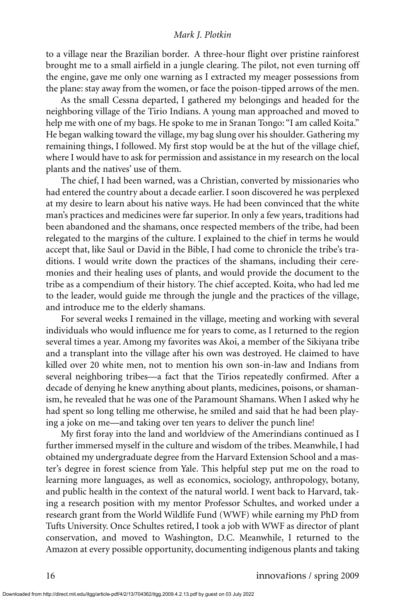to a village near the Brazilian border. A three-hour flight over pristine rainforest brought me to a small airfield in a jungle clearing. The pilot, not even turning off the engine, gave me only one warning as I extracted my meager possessions from the plane: stay away from the women, or face the poison-tipped arrows of the men.

As the small Cessna departed, I gathered my belongings and headed for the neighboring village of the Tirio Indians. A young man approached and moved to help me with one of my bags. He spoke to me in Sranan Tongo: "I am called Koita." He began walking toward the village, my bag slung over his shoulder. Gathering my remaining things, I followed. My first stop would be at the hut of the village chief, where I would have to ask for permission and assistance in my research on the local plants and the natives' use of them.

The chief, I had been warned, was a Christian, converted by missionaries who had entered the country about a decade earlier. I soon discovered he was perplexed at my desire to learn about his native ways. He had been convinced that the white man's practices and medicines were far superior. In only a few years, traditions had been abandoned and the shamans, once respected members of the tribe, had been relegated to the margins of the culture. I explained to the chief in terms he would accept that, like Saul or David in the Bible, I had come to chronicle the tribe's traditions. I would write down the practices of the shamans, including their ceremonies and their healing uses of plants, and would provide the document to the tribe as a compendium of their history. The chief accepted. Koita, who had led me to the leader, would guide me through the jungle and the practices of the village, and introduce me to the elderly shamans.

For several weeks I remained in the village, meeting and working with several individuals who would influence me for years to come, as I returned to the region several times a year. Among my favorites was Akoi, a member of the Sikiyana tribe and a transplant into the village after his own was destroyed. He claimed to have killed over 20 white men, not to mention his own son-in-law and Indians from several neighboring tribes—a fact that the Tirios repeatedly confirmed. After a decade of denying he knew anything about plants, medicines, poisons, or shamanism, he revealed that he was one of the Paramount Shamans. When I asked why he had spent so long telling me otherwise, he smiled and said that he had been playing a joke on me—and taking over ten years to deliver the punch line!

My first foray into the land and worldview of the Amerindians continued as I further immersed myself in the culture and wisdom of the tribes. Meanwhile, I had obtained my undergraduate degree from the Harvard Extension School and a master's degree in forest science from Yale. This helpful step put me on the road to learning more languages, as well as economics, sociology, anthropology, botany, and public health in the context of the natural world. I went back to Harvard, taking a research position with my mentor Professor Schultes, and worked under a research grant from the World Wildlife Fund (WWF) while earning my PhD from Tufts University. Once Schultes retired, I took a job with WWF as director of plant conservation, and moved to Washington, D.C. Meanwhile, I returned to the Amazon at every possible opportunity, documenting indigenous plants and taking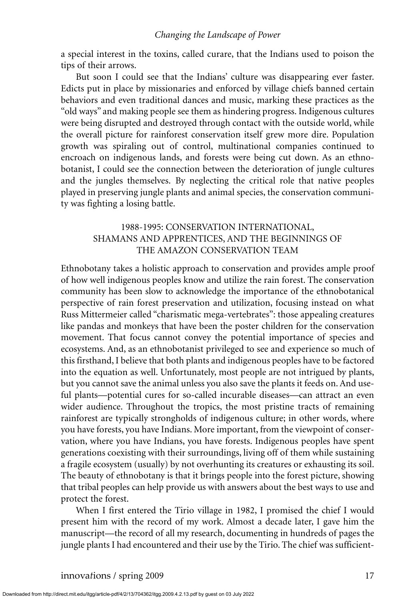a special interest in the toxins, called curare, that the Indians used to poison the tips of their arrows.

But soon I could see that the Indians' culture was disappearing ever faster. Edicts put in place by missionaries and enforced by village chiefs banned certain behaviors and even traditional dances and music, marking these practices as the "old ways" and making people see them as hindering progress. Indigenous cultures were being disrupted and destroyed through contact with the outside world, while the overall picture for rainforest conservation itself grew more dire. Population growth was spiraling out of control, multinational companies continued to encroach on indigenous lands, and forests were being cut down. As an ethnobotanist, I could see the connection between the deterioration of jungle cultures and the jungles themselves. By neglecting the critical role that native peoples played in preserving jungle plants and animal species, the conservation community was fighting a losing battle.

# 1988-1995: CONSERVATION INTERNATIONAL, SHAMANS AND APPRENTICES, AND THE BEGINNINGS OF THE AMAZON CONSERVATION TEAM

Ethnobotany takes a holistic approach to conservation and provides ample proof of how well indigenous peoples know and utilize the rain forest. The conservation community has been slow to acknowledge the importance of the ethnobotanical perspective of rain forest preservation and utilization, focusing instead on what Russ Mittermeier called "charismatic mega-vertebrates": those appealing creatures like pandas and monkeys that have been the poster children for the conservation movement. That focus cannot convey the potential importance of species and ecosystems. And, as an ethnobotanist privileged to see and experience so much of this firsthand, I believe that both plants and indigenous peoples have to be factored into the equation as well. Unfortunately, most people are not intrigued by plants, but you cannot save the animal unless you also save the plants it feeds on. And useful plants—potential cures for so-called incurable diseases—can attract an even wider audience. Throughout the tropics, the most pristine tracts of remaining rainforest are typically strongholds of indigenous culture; in other words, where you have forests, you have Indians. More important, from the viewpoint of conservation, where you have Indians, you have forests. Indigenous peoples have spent generations coexisting with their surroundings, living off of them while sustaining a fragile ecosystem (usually) by not overhunting its creatures or exhausting its soil. The beauty of ethnobotany is that it brings people into the forest picture, showing that tribal peoples can help provide us with answers about the best ways to use and protect the forest.

When I first entered the Tirio village in 1982, I promised the chief I would present him with the record of my work. Almost a decade later, I gave him the manuscript—the record of all my research, documenting in hundreds of pages the jungle plants I had encountered and their use by the Tirio. The chief was sufficient-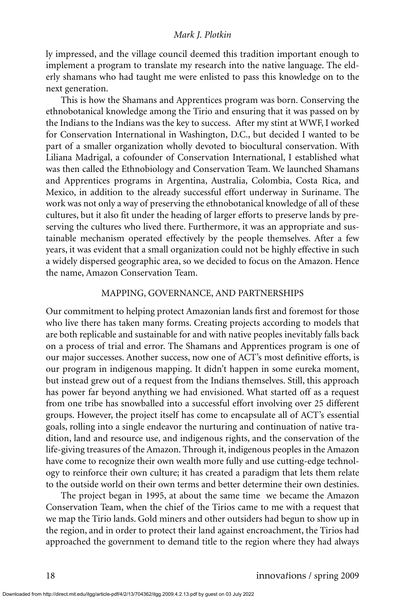ly impressed, and the village council deemed this tradition important enough to implement a program to translate my research into the native language. The elderly shamans who had taught me were enlisted to pass this knowledge on to the next generation.

This is how the Shamans and Apprentices program was born. Conserving the ethnobotanical knowledge among the Tirio and ensuring that it was passed on by the Indians to the Indians was the key to success. After my stint at WWF, I worked for Conservation International in Washington, D.C., but decided I wanted to be part of a smaller organization wholly devoted to biocultural conservation. With Liliana Madrigal, a cofounder of Conservation International, I established what was then called the Ethnobiology and Conservation Team. We launched Shamans and Apprentices programs in Argentina, Australia, Colombia, Costa Rica, and Mexico, in addition to the already successful effort underway in Suriname. The work was not only a way of preserving the ethnobotanical knowledge of all of these cultures, but it also fit under the heading of larger efforts to preserve lands by preserving the cultures who lived there. Furthermore, it was an appropriate and sustainable mechanism operated effectively by the people themselves. After a few years, it was evident that a small organization could not be highly effective in such a widely dispersed geographic area, so we decided to focus on the Amazon. Hence the name, Amazon Conservation Team.

#### MAPPING, GOVERNANCE, AND PARTNERSHIPS

Our commitment to helping protect Amazonian lands first and foremost for those who live there has taken many forms. Creating projects according to models that are both replicable and sustainable for and with native peoples inevitably falls back on a process of trial and error. The Shamans and Apprentices program is one of our major successes. Another success, now one of ACT's most definitive efforts, is our program in indigenous mapping. It didn't happen in some eureka moment, but instead grew out of a request from the Indians themselves. Still, this approach has power far beyond anything we had envisioned. What started off as a request from one tribe has snowballed into a successful effort involving over 25 different groups. However, the project itself has come to encapsulate all of ACT's essential goals, rolling into a single endeavor the nurturing and continuation of native tradition, land and resource use, and indigenous rights, and the conservation of the life-giving treasures of the Amazon. Through it, indigenous peoples in the Amazon have come to recognize their own wealth more fully and use cutting-edge technology to reinforce their own culture; it has created a paradigm that lets them relate to the outside world on their own terms and better determine their own destinies.

The project began in 1995, at about the same time we became the Amazon Conservation Team, when the chief of the Tirios came to me with a request that we map the Tirio lands. Gold miners and other outsiders had begun to show up in the region, and in order to protect their land against encroachment, the Tirios had approached the government to demand title to the region where they had always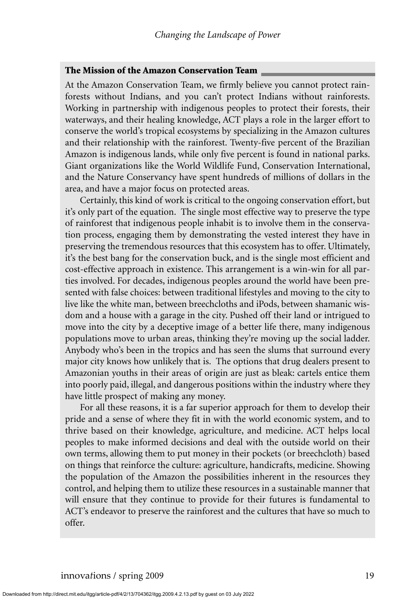#### **The Mission of the Amazon Conservation Team**

At the Amazon Conservation Team, we firmly believe you cannot protect rainforests without Indians, and you can't protect Indians without rainforests. Working in partnership with indigenous peoples to protect their forests, their waterways, and their healing knowledge, ACT plays a role in the larger effort to conserve the world's tropical ecosystems by specializing in the Amazon cultures and their relationship with the rainforest. Twenty-five percent of the Brazilian Amazon is indigenous lands, while only five percent is found in national parks. Giant organizations like the World Wildlife Fund, Conservation International, and the Nature Conservancy have spent hundreds of millions of dollars in the area, and have a major focus on protected areas.

Certainly, this kind of work is critical to the ongoing conservation effort, but it's only part of the equation. The single most effective way to preserve the type of rainforest that indigenous people inhabit is to involve them in the conservation process, engaging them by demonstrating the vested interest they have in preserving the tremendous resources that this ecosystem has to offer. Ultimately, it's the best bang for the conservation buck, and is the single most efficient and cost-effective approach in existence. This arrangement is a win-win for all parties involved. For decades, indigenous peoples around the world have been presented with false choices: between traditional lifestyles and moving to the city to live like the white man, between breechcloths and iPods, between shamanic wisdom and a house with a garage in the city. Pushed off their land or intrigued to move into the city by a deceptive image of a better life there, many indigenous populations move to urban areas, thinking they're moving up the social ladder. Anybody who's been in the tropics and has seen the slums that surround every major city knows how unlikely that is. The options that drug dealers present to Amazonian youths in their areas of origin are just as bleak: cartels entice them into poorly paid, illegal, and dangerous positions within the industry where they have little prospect of making any money.

For all these reasons, it is a far superior approach for them to develop their pride and a sense of where they fit in with the world economic system, and to thrive based on their knowledge, agriculture, and medicine. ACT helps local peoples to make informed decisions and deal with the outside world on their own terms, allowing them to put money in their pockets (or breechcloth) based on things that reinforce the culture: agriculture, handicrafts, medicine. Showing the population of the Amazon the possibilities inherent in the resources they control, and helping them to utilize these resources in a sustainable manner that will ensure that they continue to provide for their futures is fundamental to ACT's endeavor to preserve the rainforest and the cultures that have so much to offer.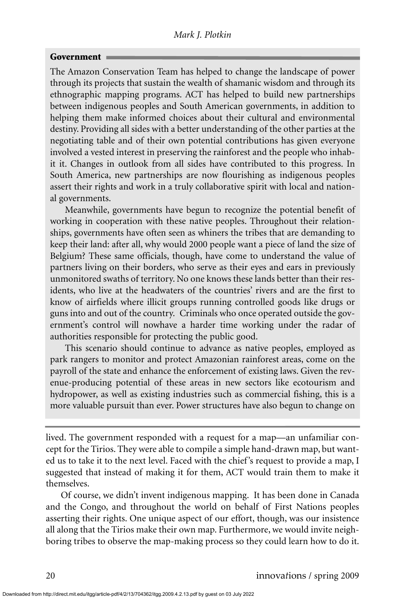## **Government**

The Amazon Conservation Team has helped to change the landscape of power through its projects that sustain the wealth of shamanic wisdom and through its ethnographic mapping programs. ACT has helped to build new partnerships between indigenous peoples and South American governments, in addition to helping them make informed choices about their cultural and environmental destiny. Providing all sides with a better understanding of the other parties at the negotiating table and of their own potential contributions has given everyone involved a vested interest in preserving the rainforest and the people who inhabit it. Changes in outlook from all sides have contributed to this progress. In South America, new partnerships are now flourishing as indigenous peoples assert their rights and work in a truly collaborative spirit with local and national governments.

Meanwhile, governments have begun to recognize the potential benefit of working in cooperation with these native peoples. Throughout their relationships, governments have often seen as whiners the tribes that are demanding to keep their land: after all, why would 2000 people want a piece of land the size of Belgium? These same officials, though, have come to understand the value of partners living on their borders, who serve as their eyes and ears in previously unmonitored swaths of territory. No one knows these lands better than their residents, who live at the headwaters of the countries' rivers and are the first to know of airfields where illicit groups running controlled goods like drugs or guns into and out of the country. Criminals who once operated outside the government's control will nowhave a harder time working under the radar of authorities responsible for protecting the public good.

This scenario should continue to advance as native peoples, employed as park rangers to monitor and protect Amazonian rainforest areas, come on the payroll of the state and enhance the enforcement of existing laws. Given the revenue-producing potential of these areas in new sectors like ecotourism and hydropower, as well as existing industries such as commercial fishing, this is a more valuable pursuit than ever. Power structures have also begun to change on

lived. The government responded with a request for a map—an unfamiliar concept for the Tirios. They were able to compile a simple hand-drawn map, but wanted us to take it to the next level. Faced with the chief's request to provide a map, I suggested that instead of making it for them, ACT would train them to make it themselves.

Of course, we didn't invent indigenous mapping. It has been done in Canada and the Congo, and throughout the world on behalf of First Nations peoples asserting their rights. One unique aspect of our effort, though, was our insistence all along that the Tirios make their own map. Furthermore, we would invite neighboring tribes to observe the map-making process so they could learn how to do it.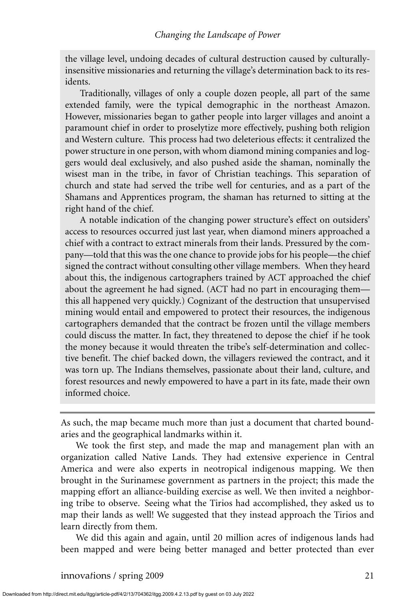the village level, undoing decades of cultural destruction caused by culturallyinsensitive missionaries and returning the village's determination back to its residents.

Traditionally, villages of only a couple dozen people, all part of the same extended family, were the typical demographic in the northeast Amazon. However, missionaries began to gather people into larger villages and anoint a paramount chief in order to proselytize more effectively, pushing both religion and Western culture. This process had two deleterious effects: it centralized the power structure in one person, with whom diamond mining companies and loggers would deal exclusively, and also pushed aside the shaman, nominally the wisest man in the tribe, in favor of Christian teachings. This separation of church and state had served the tribe well for centuries, and as a part of the Shamans and Apprentices program, the shaman has returned to sitting at the right hand of the chief.

A notable indication of the changing power structure's effect on outsiders' access to resources occurred just last year, when diamond miners approached a chief with a contract to extract minerals from their lands. Pressured by the company—told that this was the one chance to provide jobs for his people—the chief signed the contract without consulting other village members. When they heard about this, the indigenous cartographers trained by ACT approached the chief about the agreement he had signed. (ACT had no part in encouraging them this all happened very quickly.) Cognizant of the destruction that unsupervised mining would entail and empowered to protect their resources, the indigenous cartographers demanded that the contract be frozen until the village members could discuss the matter. In fact, they threatened to depose the chief if he took the money because it would threaten the tribe's self-determination and collective benefit. The chief backed down, the villagers reviewed the contract, and it was torn up. The Indians themselves, passionate about their land, culture, and forest resources and newly empowered to have a part in its fate, made their own informed choice.

As such, the map became much more than just a document that charted boundaries and the geographical landmarks within it.

We took the first step, and made the map and management plan with an organization called Native Lands. They had extensive experience in Central America and were also experts in neotropical indigenous mapping. We then brought in the Surinamese government as partners in the project; this made the mapping effort an alliance-building exercise as well. We then invited a neighboring tribe to observe. Seeing what the Tirios had accomplished, they asked us to map their lands as well! We suggested that they instead approach the Tirios and learn directly from them.

We did this again and again, until 20 million acres of indigenous lands had been mapped and were being better managed and better protected than ever

innovations / spring 2009 21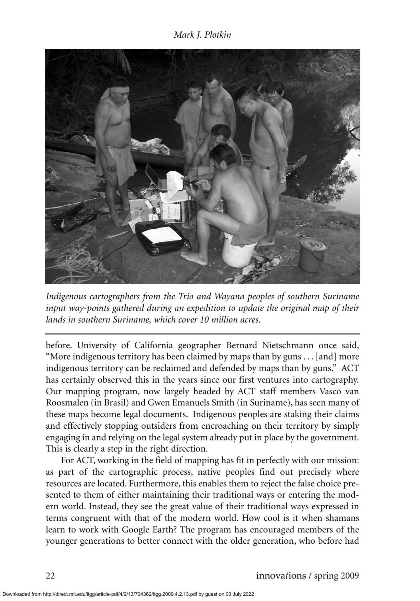

*Indigenous cartographers from the Trio and Wayana peoples of southern Suriname input way-points gathered during an expedition to update the original map of their lands in southern Suriname, which cover 10 million acres*.

before. University of California geographer Bernard Nietschmann once said, "More indigenous territory has been claimed by maps than by guns . . . [and] more indigenous territory can be reclaimed and defended by maps than by guns." ACT has certainly observed this in the years since our first ventures into cartography. Our mapping program, now largely headed by ACT staff members Vasco van Roosmalen (in Brasil) and Gwen Emanuels Smith (in Suriname), has seen many of these maps become legal documents. Indigenous peoples are staking their claims and effectively stopping outsiders from encroaching on their territory by simply engaging in and relying on the legal system already put in place by the government. This is clearly a step in the right direction.

For ACT, working in the field of mapping has fit in perfectly with our mission: as part of the cartographic process, native peoples find out precisely where resources are located. Furthermore, this enables them to reject the false choice presented to them of either maintaining their traditional ways or entering the modern world. Instead, they see the great value of their traditional ways expressed in terms congruent with that of the modern world. How cool is it when shamans learn to work with Google Earth? The program has encouraged members of the younger generations to better connect with the older generation, who before had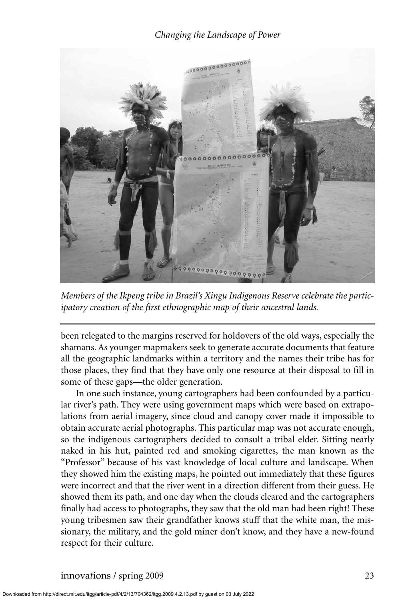

*Members of the Ikpeng tribe in Brazil's Xingu Indigenous Reserve celebrate the participatory creation of the first ethnographic map of their ancestral lands.*

been relegated to the margins reserved for holdovers of the old ways, especially the shamans. As younger mapmakers seek to generate accurate documents that feature all the geographic landmarks within a territory and the names their tribe has for those places, they find that they have only one resource at their disposal to fill in some of these gaps—the older generation.

In one such instance, young cartographers had been confounded by a particular river's path. They were using government maps which were based on extrapolations from aerial imagery, since cloud and canopy cover made it impossible to obtain accurate aerial photographs. This particular map was not accurate enough, so the indigenous cartographers decided to consult a tribal elder. Sitting nearly naked in his hut, painted red and smoking cigarettes, the man known as the "Professor" because of his vast knowledge of local culture and landscape. When they showed him the existing maps, he pointed out immediately that these figures were incorrect and that the river went in a direction different from their guess. He showed them its path, and one day when the clouds cleared and the cartographers finally had access to photographs, they saw that the old man had been right! These young tribesmen saw their grandfather knows stuff that the white man, the missionary, the military, and the gold miner don't know, and they have a new-found respect for their culture.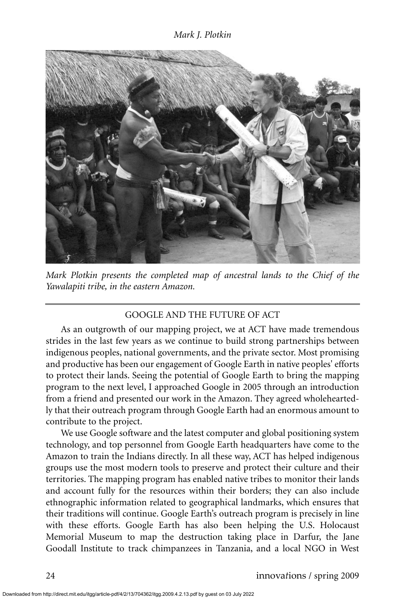

*Mark Plotkin presents the completed map of ancestral lands to the Chief of the Yawalapiti tribe, in the eastern Amazon.*

# GOOGLE AND THE FUTURE OF ACT

As an outgrowth of our mapping project, we at ACT have made tremendous strides in the last few years as we continue to build strong partnerships between indigenous peoples, national governments, and the private sector. Most promising and productive has been our engagement of Google Earth in native peoples' efforts to protect their lands. Seeing the potential of Google Earth to bring the mapping program to the next level, I approached Google in 2005 through an introduction from a friend and presented our work in the Amazon. They agreed wholeheartedly that their outreach program through Google Earth had an enormous amount to contribute to the project.

We use Google software and the latest computer and global positioning system technology, and top personnel from Google Earth headquarters have come to the Amazon to train the Indians directly. In all these way, ACT has helped indigenous groups use the most modern tools to preserve and protect their culture and their territories. The mapping program has enabled native tribes to monitor their lands and account fully for the resources within their borders; they can also include ethnographic information related to geographical landmarks, which ensures that their traditions will continue. Google Earth's outreach program is precisely in line with these efforts. Google Earth has also been helping the U.S. Holocaust Memorial Museum to map the destruction taking place in Darfur, the Jane Goodall Institute to track chimpanzees in Tanzania, and a local NGO in West